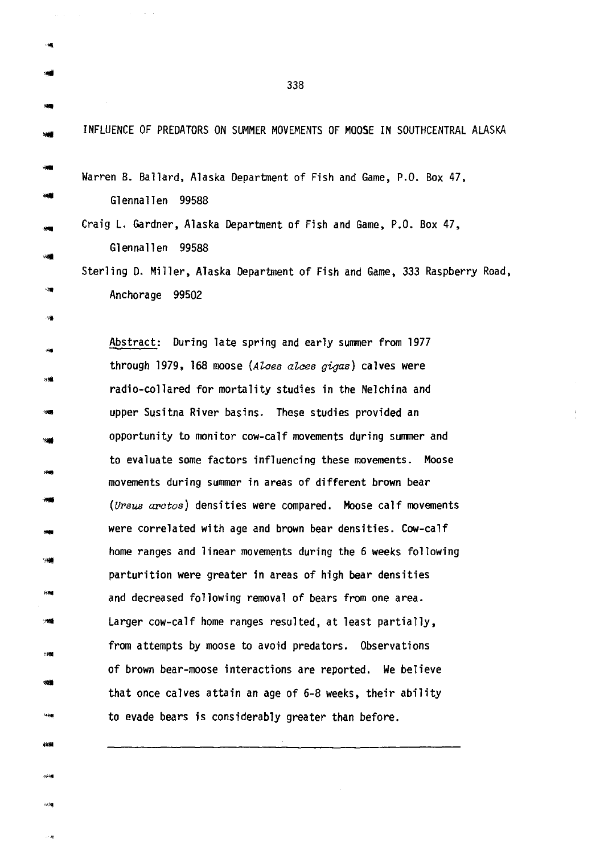INFLUENCE OF PREDATORS ON SUMMER MOVEMENTS OF MOOSE IN SOUTHCENTRAL ALASKA

-.<br>Sil

突触

Warren B. Ballard, Alaska Department of Fish and Game, P.O. Box 47, Glennallen 99588 Craig L. Gardner, Alaska Department of Fish and Game, P.O. Box 47, Glennallen 99588 Sterling *D.* Miller, Alaska Department of Fish and Game, 333 Raspberry Road, Anchorage 99502

- ።<br>-<br>- ተመ Abstract: During late spring and early summer from 1977 through 1979, 168 moose *(AZcea aZcea gigas)* calves were radio-collared for mortality studies in the Nelchina and upper Susitna River basins. These studies provided an opportunity to monitor cow-calf movements during summer and to evaluate some factors influencing these movements. Moose movements during summer in areas of different brown bear *(UPsus aPctos)* densities were compared. Moose calf movements were correlated with age and brown bear densities. Cow-calf home ranges and linear movements during the 6 weeks following parturition were greater in areas of high bear densities and decreased following removal of bears from one area. Larger cow-calf home ranges resulted, at least partially, from attempts by moose to avoid predators. Observations of brown bear-moose interactions are reported. We believe - that once calves attain an age of 6-8 weeks, their ability to evade bears is considerably greater than before.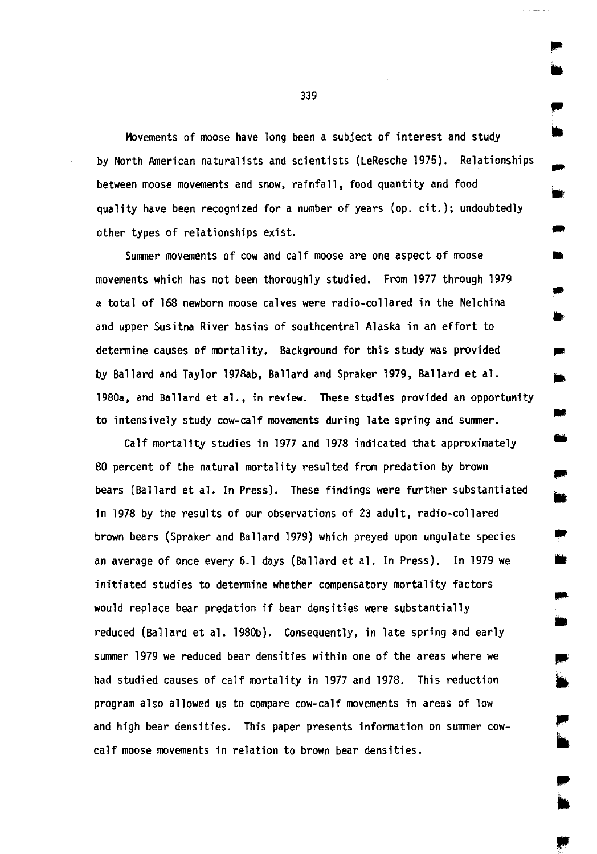Movements of moose have long been a subject of interest and study by North American naturalists and scientists (LeResche 1975). Relationships between moose movements and snow, rainfall, food quantity and food quality have been recognized for a number of years (op. cit.); undoubtedly other types of relationships exist.

Summer movements of cow and calf moose are one aspect of moose movements which has not been thoroughly studied. From 1977 through 1979 a total of 168 newborn moose calves were radio-collared in the Nelchina and upper Susitna River basins of southcentral Alaska in an effort to determine causes of mortality. Background for this study was provided by Ballard and Taylor 1978ab, Ballard and Spraker 1979, Ballard et al. 1980a, and Ballard et al., in review. These studies provided an opportunity to intensively study cow-calf movements during late spring and summer.

Calf mortality studies in 1977 and 1978 indicated that approximately 80 percent of the natural mortality resulted from predation by brown bears (Ballard et al. In Press). These findings were further substantiated in 1978 by the results of our observations of 23 adult, radio-collared brown bears (Spraker and Ballard 1979) which preyed upon ungulate species • an average of once every 6.1 days (Ballard et al. In Press). In 1979 we initiated studies to determine whether compensatory mortality factors would replace bear predation if bear densities were substantially reduced (Ballard et al. 1980b). Consequently, in late spring and early summer 1979 we reduced bear densities within one of the areas where we had studied causes of calf mortality in 1977 and 1978. This reduction program also allowed us to compare cow-calf movements in areas of low and high bear densities. This paper presents information on summer cowcalf moose movements in relation to brown bear densities.

339

.. •

•

..

•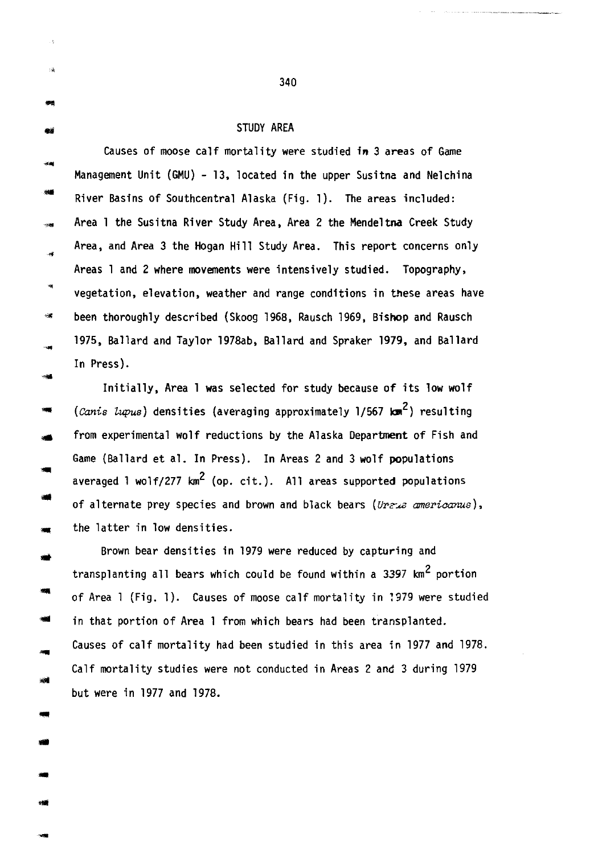3ğ

... ..

..

### STUDY AREA

Causes of moose calf mortality were studied in 3 areas of Game Management Unit (GMU) - 13, located in the upper Susitna and Nelchina .. River Basins of Southcentral Alaska (Fig. 1). The areas included: Area 1 the Susitna River Study Area, Area 2 the Mendeltna Creek Study Area, and Area 3 the Hogan Hill Study Area. This report concerns only .<br>Seb Areas 1 and 2 where movements were intensively studied. Topography,  $\bar{a}$ vegetation, elevation, weather and range conditions in these areas have <sup>~</sup>been thoroughly described (Skoog 1968, Rausch 1969, Bishop and Rausch 1975, Ballard and Taylor 1978ab, Ballard and Spraker 1979, and Ballard In Press).

Initially, Area 1 was selected for study because of its low wolf (*Canis lupus*) densities (averaging approximately 1/567 km<sup>2</sup>) resulting from experimental wolf reductions by the Alaska Department of Fish and Game (Ballard et al. In Press). In Areas 2 and 3 wolf populations averaged 1 wolf/277  $km^2$  (op. cit.). All areas supported populations of alternate prey species and brown and black bears (Ureus americanus), the latter in low densities.

.. Brown bear densities in 1979 were reduced by capturing and transplanting all bears which could be found within a 3397 km<sup>2</sup> portion of Area 1 (Fig. 1). Causes of moose calf mortality in ?979 were studied in that portion of Area 1 from which bears had been transplanted. Causes of calf mortality had been studied in this area in 1977 and 1978. Calf mortality studies were not conducted in Areas 2 and 3 during 1979 but were in 1977 and 1978 .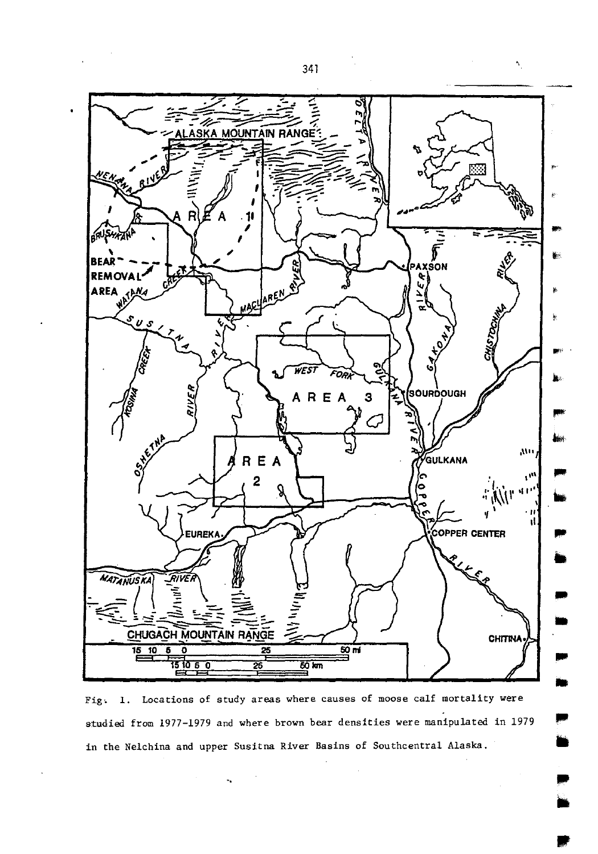

Fig. 1. Locations of study areas where causes of moose calf mortality were studied from 1977-1979 and where brown bear densities were manipulated in 1979 in the Nelchina and upper Susitna River Basins of Southcentral Alaska.

 $\hat{\mathbf{r}}$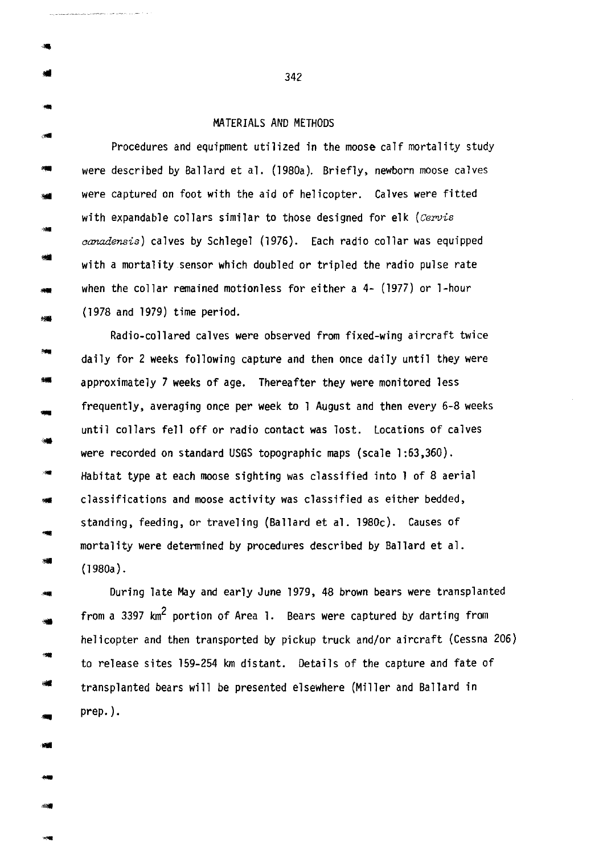... ...

補理

..

---<br>---<br>---

-

MATERIALS AND METHODS<br>Procedures and equipment utilized in the moose calf mortality study were described by Ballard et al. (1980a). Briefly, newborn moose calves were captured on foot with the aid of helicopter. Calves were fitted with expandable collars similar to those designed for elk *(Cervis canadensis)* calves by Schlegel (1976). Each radio collar was equipped with a mortality sensor which doubled or tripled the radio pulse rate when the collar remained motionless for either a 4- (1977) or 1-hour (1978 and 1979) time period .

Radio-collared calves were observed from fixed-wing aircraft twice ... daily for 2 weeks following capture and then once daily until they were ... approximately 7 weeks of age. Thereafter they were monitored less frequently, averaging once per week to 1 August and then every 6-8 weeks until collars fell off or radio contact was lost. Locations of calves were recorded on standard USGS topographic maps (scale 1:63,360). ... Habitat type at each moose sighting was classified into 1 of 8 aerial classifications and moose activity was classified as either bedded, **SME** standing, feeding, or traveling (Ballard et al. l980c). Causes of mortality were determined by procedures described by Ballard et al. (1980a).

""<br>"" During late May and early June 1979, 48 brown bears were transplanted from a 3397 km<sup>2</sup> portion of Area 1. Bears were captured by darting from helicopter and then transported by pickup truck and/or aircraft (Cessna 206) to release sites 159-254 km distant. Details of the capture and fate of transplanted bears will be presented elsewhere (Miller and Ballard in prep.).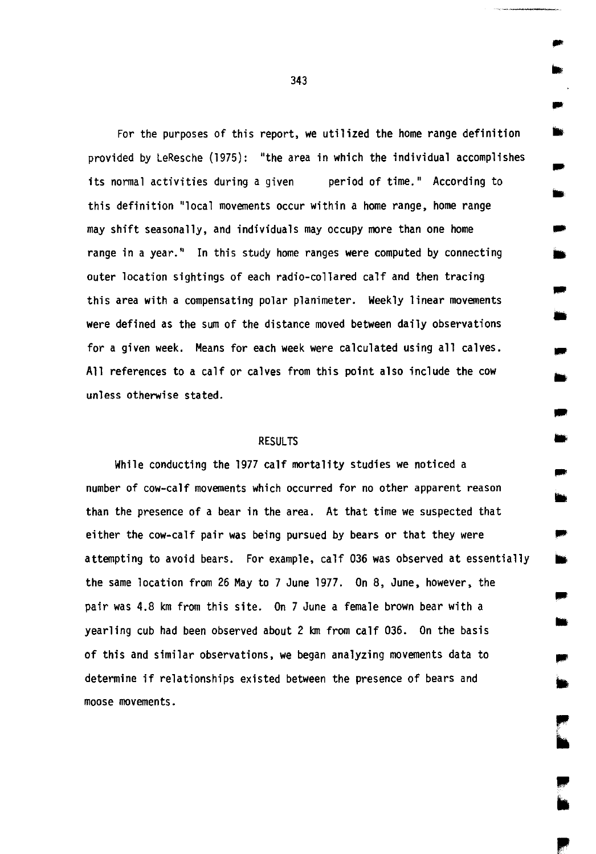For the purposes of this report, we utilized the home range definition provided by LeResche (1975): "the area in which the individual accomplishes its normal activities during a given period of time." According to this definition "local movements occur within a home range, home range may shift seasonally, and individuals may occupy more than one home range in a year." In this study home ranges were computed by connecting outer location sightings of each radio-collared calf and then tracing this area with a compensating polar planimeter. Weekly linear movements were defined as the sum of the distance moved between daily observations for a given week. Means for each week were calculated using all calves. All references to a calf or calves from this point also include the cow unless otherwise stated.

# **RESULTS**

While conducting the 1977 calf mortality studies we noticed a number of cow-calf movements which occurred for no other apparent reason than the presence of a bear in the area. At that time we suspected that either the cow-calf pair was being pursued by bears or that they were attempting to avoid bears. For example, calf 036 was observed at essentially the same location from 26 May to 7 June 1977. On 8, June, however, the pair was 4.8 km from this site. On 7 June a female brown bear with a yearling cub had been observed about 2 km from calf 036. On the basis of this and similar observations, we began analyzing movements data to determine if relationships existed between the presence of bears and moose movements.

..

•

-

... •

..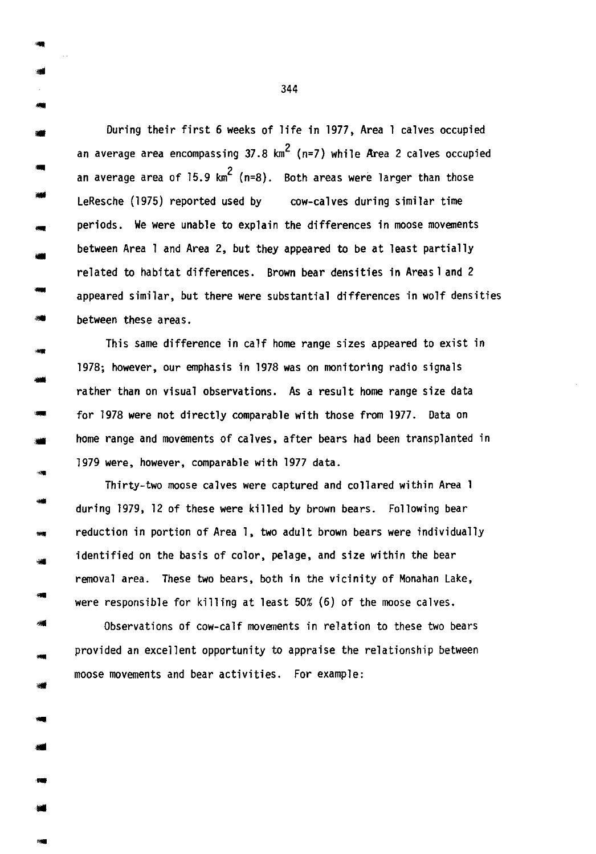During their first 6 weeks of life in 1977, Area 1 calves occupied an average area encompassing 37.8  $\text{km}^2$  (n=7) while Area 2 calves occupied an average area of  $15.9 \text{ km}^2$  (n=8). Both areas were larger than those LeResche (1975) reported used by cow-calves during similar time periods. We were unable to explain the differences in moose movements between Area 1 and Area 2, but they appeared to be at least partially related to habitat differences. Brown bear densities in Areasl and 2 appeared similar, but there were substantial differences in wolf densities between these areas.

-

40

**SHIP** 

أكلفه

This same difference in calf home range sizes appeared to exist in 1978; however, our emphasis in 1978 was on monitoring radio signals rather than on visual observations. As a result home range size data for 1978 were not directly comparable with those from 1977. Data on home range and movements of calves, after bears had been transplanted in 1979 were, however, comparable with 1977 data.

Thirty-two moose calves were captured and collared within Area 1 during 1979, 12 of these were killed by brown bears. Following bear reduction in portion of Area 1, two adult brown bears were individually identified on the basis of color, pelage, and size within the bear removal area. These two bears, both in the vicinity of Monahan Lake, were responsible for killing at least 50% (6) of the moose calves.

Observations of cow-calf movements in relation to these two bears provided an excellent opportunity to appraise the relationship between moose movements and bear activities. For example: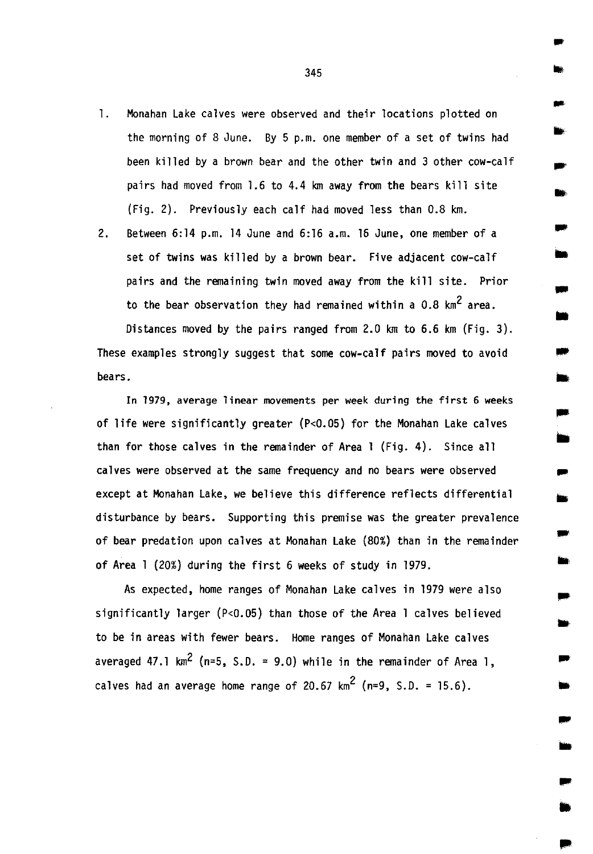- 1. Monahan Lake calves were observed and their locations plotted on the morning of 8 June. By 5 p.m. one member of a set of twins had been killed by a brown bear and the other twin and 3 other cow-calf pairs had moved from 1.6 to 4.4 km away from the bears kill site (Fig. 2). Previously each calf had moved less than 0.8 km.
- 2. Between 6:14 p.m. 14 June and 6:16 a.m. 16 June, one member of a set of twins was killed by a brown bear. Five adjacent cow-calf pairs and the remaining twin moved away from the kill site. Prior to the bear observation they had remained within a  $0.8 \text{ km}^2$  area.

Distances moved by the pairs ranged from 2.0 km to 6.6 km (Fig. 3). These examples strongly suggest that some cow-calf pairs moved to avoid • bears.

In 1979, average linear movements per week during the first 6 weeks of life were significantly greater (P<0.05) for the Monahan Lake calves than for those calves in the remainder of Area 1 (Fig. 4). Since all calves were observed at the same frequency and no bears were observed except at Monahan Lake, we believe this difference reflects differential disturbance by bears. Supporting this premise was the greater prevalence of bear predation upon calves at Monahan Lake (80%) than in the remainder of Area 1 (20%) during the first 6 weeks of study in 1979.

As expected, home ranges of Monahan Lake calves in 1979 were also significantly larger (P<0.05) than those of the Area 1 calves believed to be in areas with fewer bears. Home ranges of Monahan Lake calves averaged 47.1 km<sup>2</sup> (n=5, S.D. = 9.0) while in the remainder of Area 1, calves had an average home range of 20.67  $km^2$  (n=9. S.D. = 15.6).

345

..

...

-

•

-

...

.. ,

..

...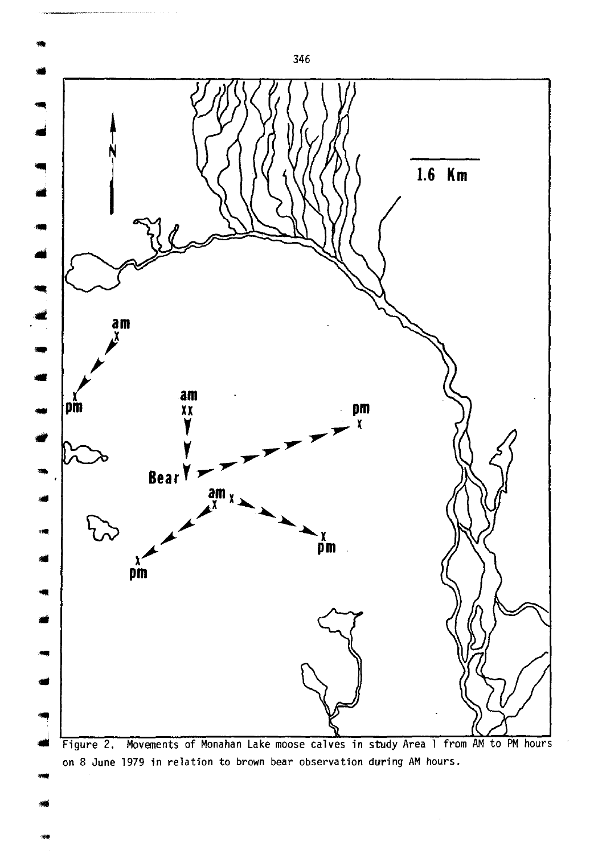

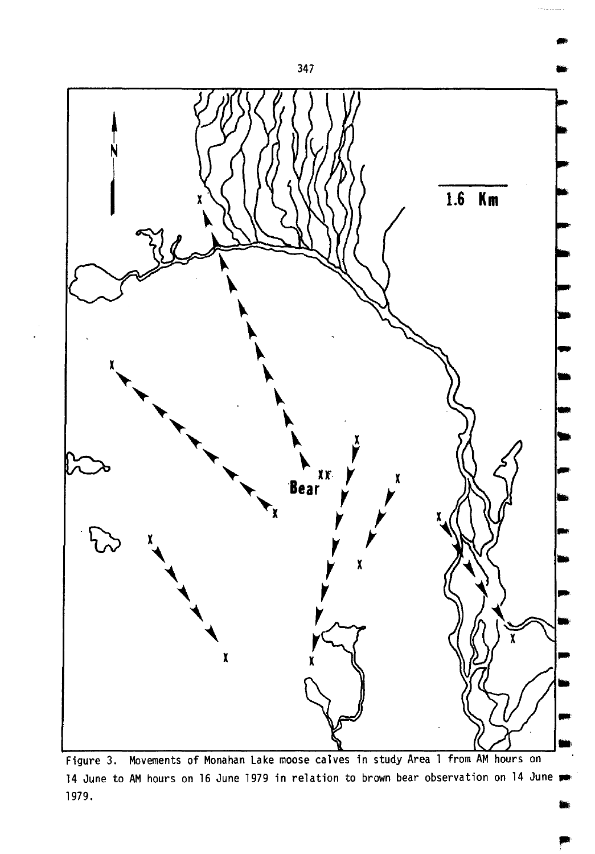

Figure 3. Movements of Monahan Lake moose calves in study Area 1 from AM hours on 14 June to AM hours on 16 June 1979 in relation to brown bear observation on 14 June  $\bullet$ 1979.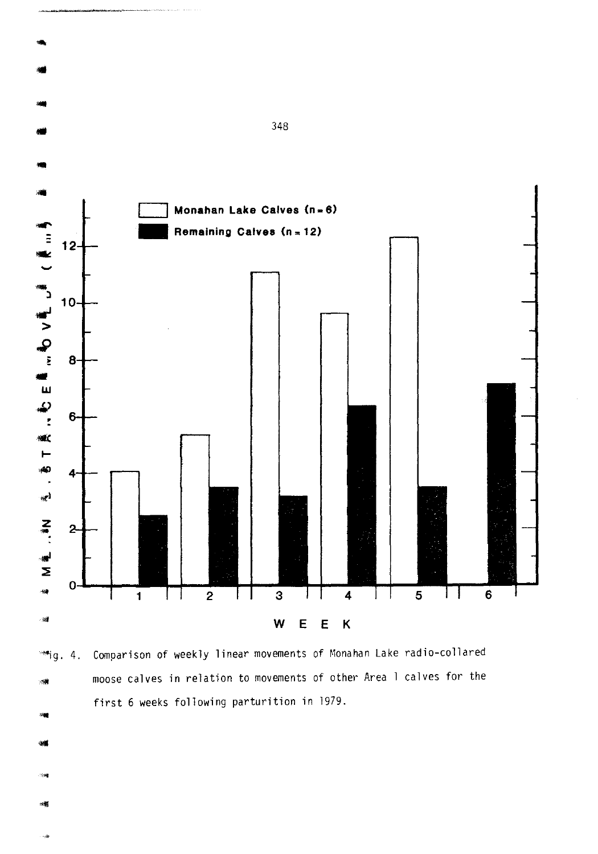

Comparison of weekly linear movements of Monahan Lake radio-collared  $m_{\rm ij}$ . 4. moose calves in relation to movements of other Area 1 calves for the  $\times 10$ first 6 weeks following parturition in 1979.

- 
- 
-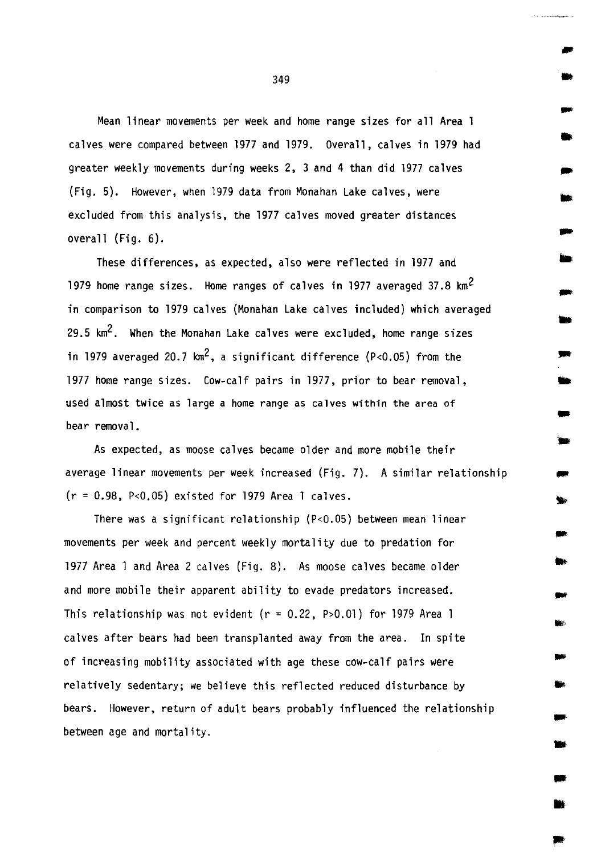Mean linear movements per week and home range sizes for all Area 1 calves were compared between 1977 and 1979. Overall, calves in 1979 had greater weekly movements during weeks 2, 3 and 4 than did 1977 calves (Fig. 5). However, when 1979 data from Monahan Lake calves, were excluded from this analysis, the 1977 calves moved greater distances overall (Fig. 6).

These differences, as expected, also were reflected in 1977 and 1979 home range sizes. Home ranges of calves in 1977 averaged 37.8 km2 in comparison to 1979 calves (Monahan Lake calves included) which averaged 29.5  $km^2$ . When the Monahan Lake calves were excluded, home range sizes in 1979 averaged 20.7  $km^2$ , a significant difference (P<0.05) from the 1977 home range sizes. Cow-calf pairs in 1977, prior to bear removal, used almost twice as large a home range as calves within the area of bear removal.

As expected, as moose calves became older and more mobile their average linear movements per week increased (Fig. 7). A similar relationship (r = 0.98, P<0.05) existed for 1979 Area 1 calves.

There was a significant relationship (P<0.05) between mean linear movements per week and percent weekly mortality due to predation for 1977 Area 1 and Area 2 calves (Fig. 8). As moose calves became older and more mobile their apparent ability to evade predators increased. This relationship was not evident ( $r = 0.22$ , P>0.01) for 1979 Area 1 calves after bears had been transplanted away from the area. In spite of increasing mobility associated with age these cow-calf pairs were relatively sedentary; we believe this reflected reduced disturbance by bears. However, return of adult bears probably influenced the relationship between age and mortality.

•

...

..

...

-

-

..

-

... ..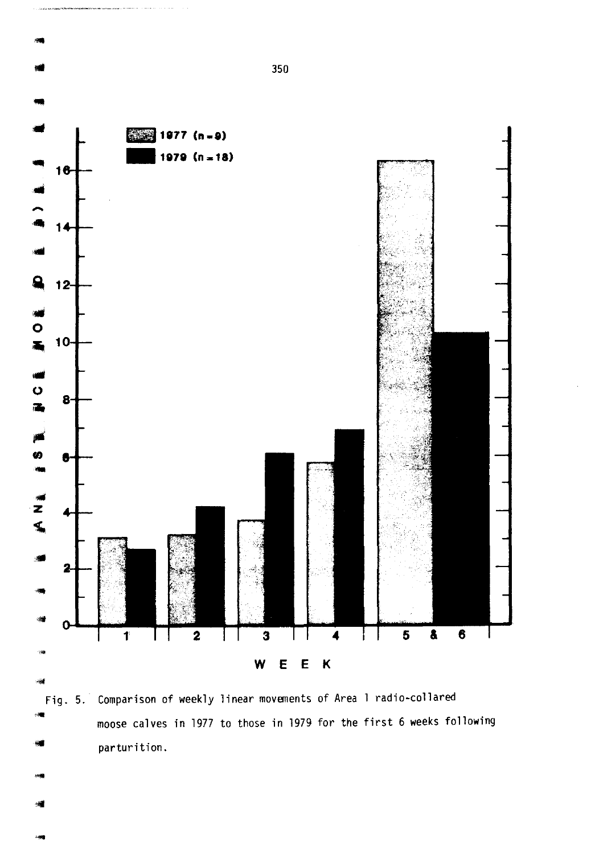

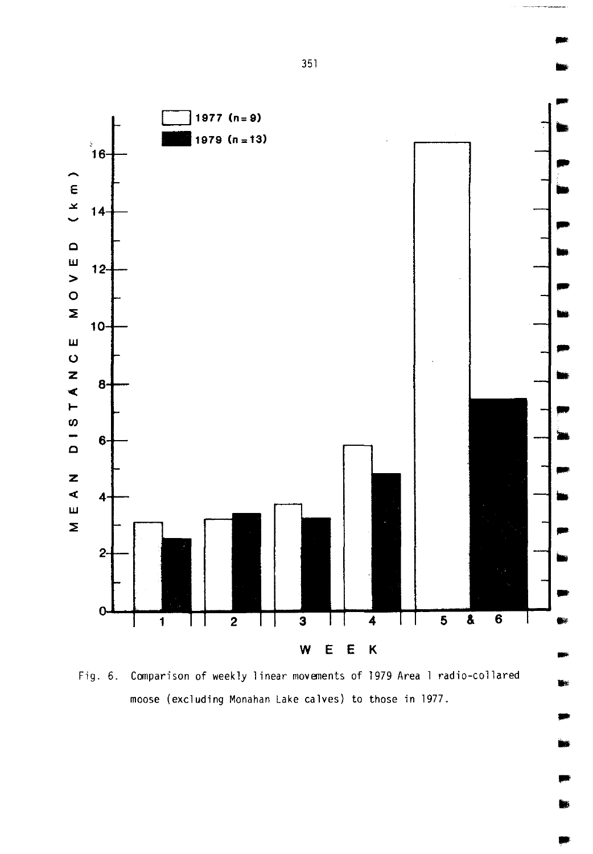

Fig. 6. Comparison of weekly linear movements of 1979 Area 1 radio-collared moose (excluding Monahan Lake calves) to those in 1977.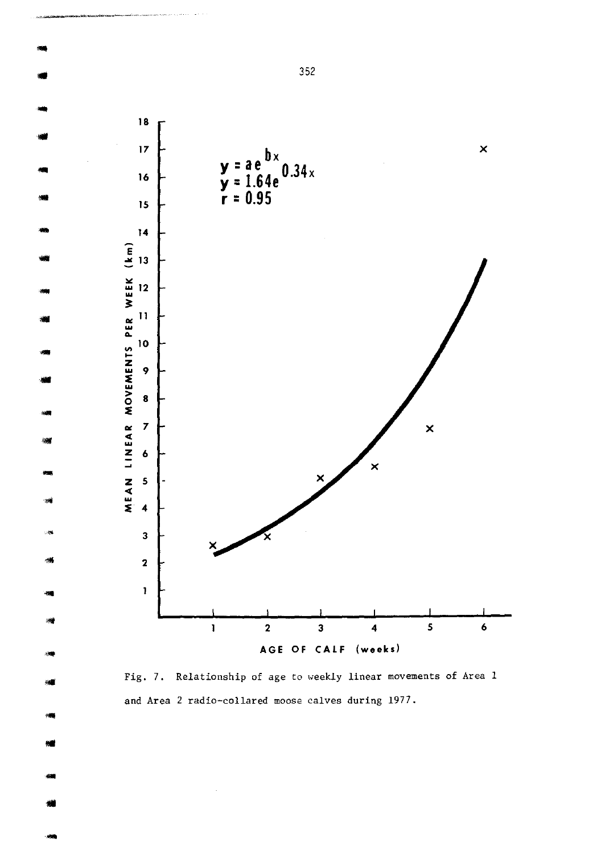

Fig. 7. Relationship of age to weekly linear movements of Area 1 and Area 2 radio-collared moose calves during 1977.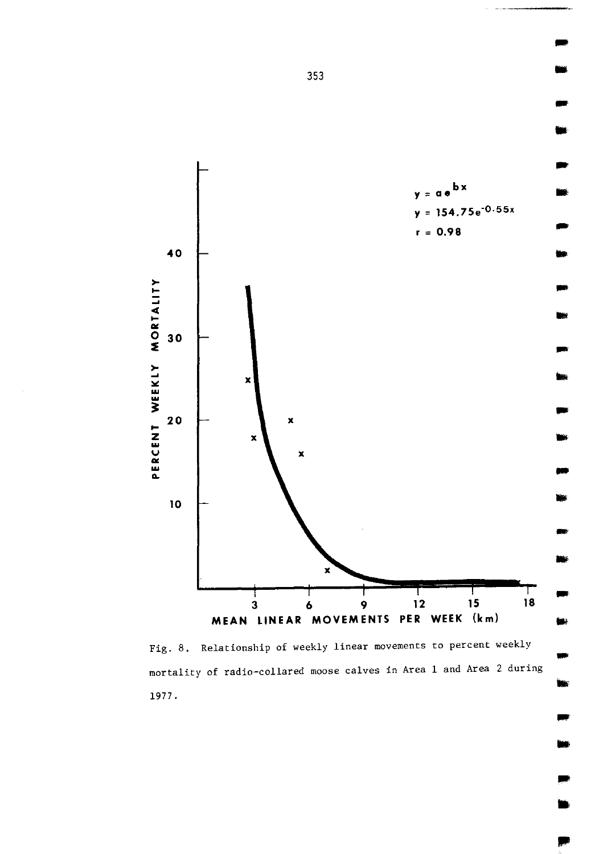

Fig. 8. Relationship of weekly linear movements to percent weekly mortality of radio-collared moose calves in Area 1 and Area 2 during 1977.

•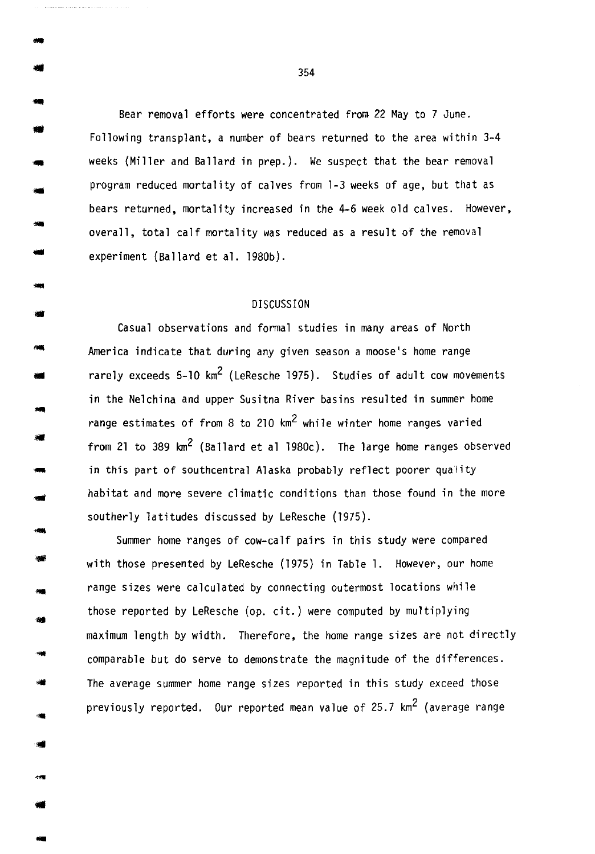Bear removal efforts were concentrated from 22 May to 7 June . • Following transplant, a number of bears returned to the area within 3-4 weeks (Miller and Ballard in prep.). We suspect that the bear removal program reduced mortality of calves from 1-3 weeks of age, but that as bears returned, mortality increased in the 4-6 week old calves. However, overall, total calf mortality was reduced as a result of the removal experiment (Ballard et al. 1980b) .

..

... ..

...

•

• -<br>-<br>-

-

..

## DISCUSSION

Casual observations and formal studies in many areas of North America indicate that during any given season a moose's home range rarely exceeds  $5-10 \text{ km}^2$  (LeResche 1975). Studies of adult cow movements in the Nelchina and upper Susitna River basins resulted in summer home range estimates of from 8 to 210  $km^2$  while winter home ranges varied from 21 to 389 km<sup>2</sup> (Ballard et al 1980c). The large home ranges observed in this part of southcentral Alaska probably reflect poorer quality habitat and more severe climatic conditions than those found in the more southerly latitudes discussed by LeResche (1975).

Summer home ranges of cow-calf pairs in this study were compared with those presented by LeResche (1975) in Table 1. However, our home range sizes were calculated by connecting outermost locations while those reported by LeResche (op. cit.) were computed by multiplying maximum length by width. Therefore, the home range sizes are not directly comparable but do serve to demonstrate the magnitude of the differences. The average summer home range sizes reported in this study exceed those previously reported. Our reported mean value of  $25.7$  km<sup>2</sup> (average range

 $\frac{1}{2}$  354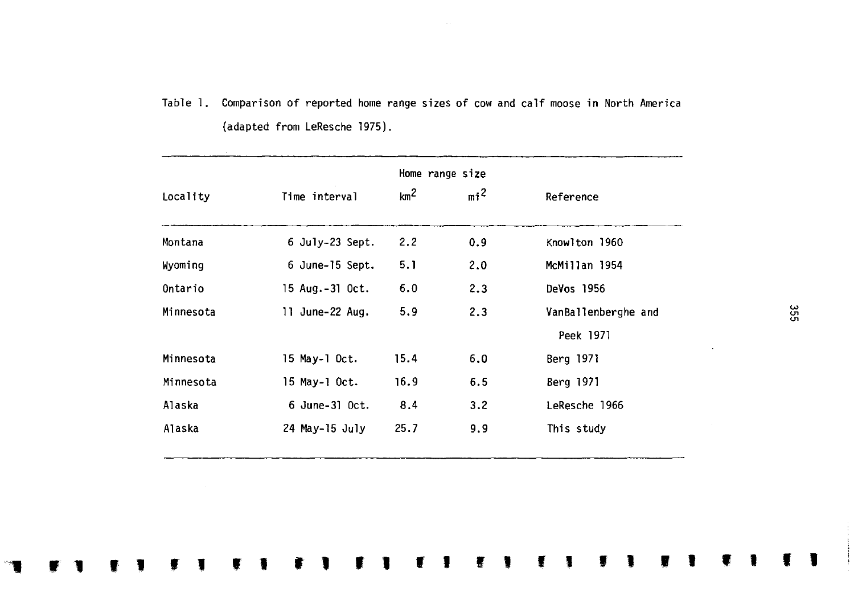Table 1. Comparison of reported home range sizes of cow and calf moose in North America (adapted from LeResche 1975).

|           |                  | Home range size |        |                     |  |
|-----------|------------------|-----------------|--------|---------------------|--|
| Locality  | Time interval    | km <sup>2</sup> | $mi^2$ | Reference           |  |
| Montana   | 6 July-23 Sept.  | 2.2             | 0.9    | Knowlton 1960       |  |
| Wyoming   | 6 June-15 Sept.  | 5.1             | 2.0    | McMillan 1954       |  |
| Ontario   | 15 Aug.-31 Oct.  | 6.0             | 2.3    | DeVos 1956          |  |
| Minnesota | 11 June-22 Aug.  | 5.9             | 2.3    | VanBallenberghe and |  |
|           |                  |                 |        | Peek 1971           |  |
| Minnesota | 15 May-1 Oct.    | 15.4            | 6.0    | Berg 1971           |  |
| Minnesota | 15 May-1 Oct.    | 16.9            | 6.5    | Berg 1971           |  |
| Alaska    | $6$ June-31 Oct. | 8.4             | 3.2    | LeResche 1966       |  |
| Alaska    | 24 May-15 July   | 25.7            | 9.9    | This study          |  |

 $\sim$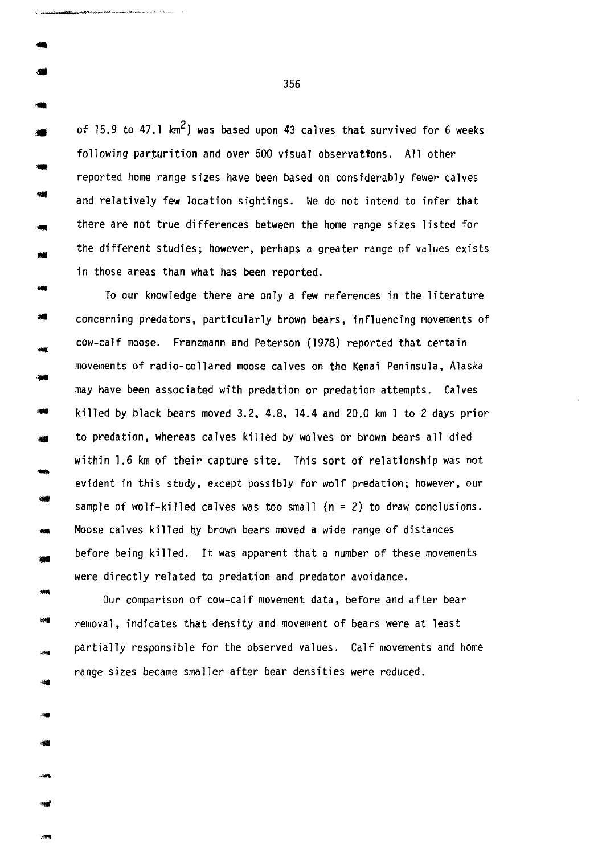of 15.9 to 47.1  $km^2$ ) was based upon 43 calves that survived for 6 weeks following parturition and over 500 visual observattons. All other reported home range sizes have been based on considerably fewer calves and relatively few location sightings. We do not intend to infer that there are not true differences between the home range sizes listed for the different studies; however, perhaps a greater range of values exists in those areas than what has been reported.

-... --<br>--<br>--To our knowledge there are only a few references in the literature concerning predators, particularly brown bears, influencing movements of cow-calf moose. Franzmann and Peterson (1978) reported that certain movements of radio-collared moose calves on the Kenai Peninsula, Alaska may have been associated with predation or predation attempts. Calves killed by black bears moved 3.2, 4.8, 14.4 and 20.0 km 1 to 2 days prior to predation, whereas calves killed by wolves or brown bears all died within 1.6 km of their capture site. This sort of relationship was not evident in this study, except possibly for wolf predation; however, our sample of wolf-killed calves was too small (n = 2) to draw conclusions. Moose calves killed by brown bears moved a wide range of distances before being killed. It was apparent that a number of these movements were directly related to predation and predator avoidance.

.... Our comparison of cow-calf movement data, before and after bear removal, indicates that density and movement of bears were at least partially responsible for the observed values. Calf movements and home range sizes became smaller after bear densities were reduced.

356

..

...

...

... •

...

...

•

**Light** 

-

-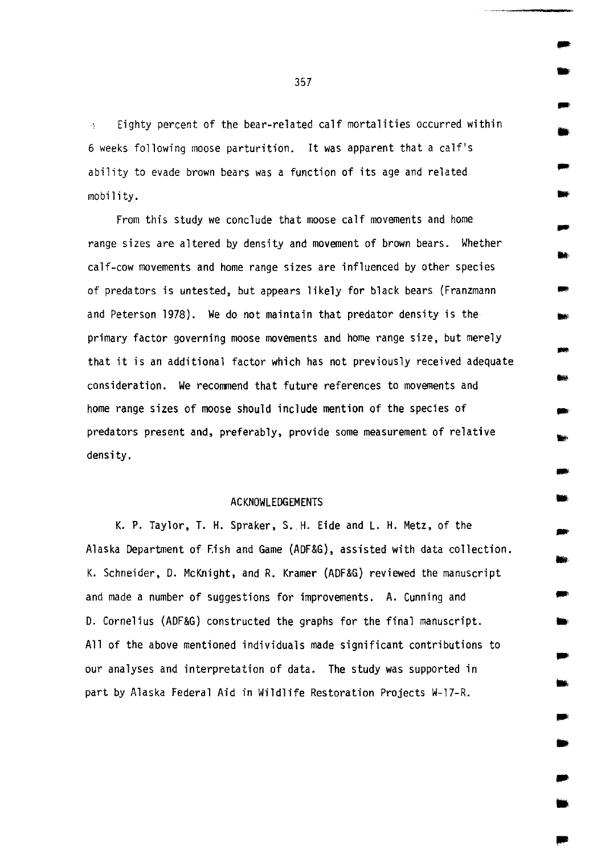Eighty percent of the bear-related calf mortalities occurred within  $\Delta \mathbf{r}$ 6 weeks following moose parturition. It was apparent that a calf's ability to evade brown bears was a function of its age and related mobility.

From this study we conclude that moose calf movements and home range sizes are altered by density and movement of brown bears. Whether calf-cow movements and home range sizes are influenced by other species of predators is untested, but appears likely for black bears (Franzmann and Peterson 1978). We do not maintain that predator density is the primary factor governing moose movements and home range size, but merely that it is an additional factor which has not previously received adequate consideration. We recommend that future references to movements and home range sizes of moose should include mention of the species of predators present and, preferably, provide some measurement of relative density.

## ACKNOWLEDGEMENTS

K. P. Taylor, T. H. Spraker, S. H. Eide and L. H. Metz, of the Alaska Department of Fish and Game (ADF&G), assisted with data collection. K. Schneider, D. McKnight, and R. Kramer (ADF&G) reviewed the manuscript and made a number of suggestions for improvements. A. Cunning and D. Cornelius (ADF&G) constructed the graphs for the final manuscript. All of the above mentioned individuals made significant contributions to our analyses and interpretation of data. The study was supported in part by Alaska Federal Aid in Wildlife Restoration Projects W-17-R.

357

-

•

...

•

- ..

..

•

... •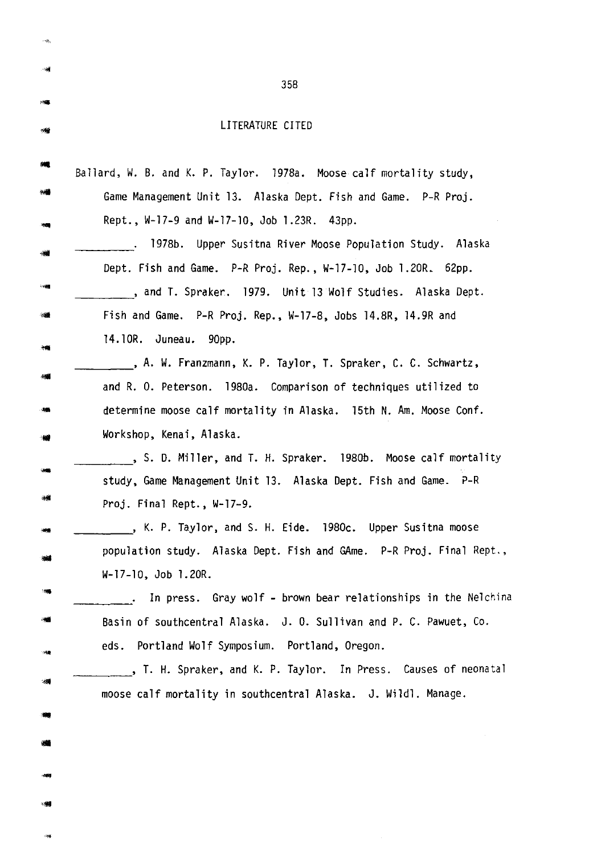| LITERATURE CITED |  |
|------------------|--|

 $\mathcal{A}^{\mathcal{S}}_{\mathcal{M}}$ 

 $\overline{\rm{m}}$ ..

 $\frac{1}{2}$ 

| Game Management Unit 13. Alaska Dept. Fish and Game. P-R Proj.       |
|----------------------------------------------------------------------|
| Rept., W-17-9 and W-17-10, Job 1.23R. 43pp.                          |
| 1978b. Upper Susitna River Moose Population Study. Alaska            |
| Dept. Fish and Game. P-R Proj. Rep., W-17-10, Job 1.20R. 62pp.       |
| , and T. Spraker. 1979. Unit 13 Wolf Studies. Alaska Dept.           |
| Fish and Game. P-R Proj. Rep., W-17-8, Jobs 14.8R, 14.9R and         |
| 14.10R. Juneau. 90pp.                                                |
| , A. W. Franzmann, K. P. Taylor, T. Spraker, C. C. Schwartz,         |
| and R. O. Peterson. 1980a. Comparison of techniques utilized to      |
| determine moose calf mortality in Alaska. 15th N. Am. Moose Conf.    |
| Workshop, Kenai, Alaska.                                             |
| , S. D. Miller, and T. H. Spraker. 1980b. Moose calf mortality       |
| study, Game Management Unit 13. Alaska Dept. Fish and Game. P-R      |
| Proj. Final Rept., W-17-9.                                           |
| , K. P. Taylor, and S. H. Eide. 1980c. Upper Susitna moose           |
| population study. Alaska Dept. Fish and GAme. P-R Proj. Final Rept., |
| W-17-10, Job 1.20R.                                                  |
| In press. Gray wolf - brown bear relationships in the Nelchina       |
| Basin of southcentral Alaska. J. O. Sullivan and P. C. Pawuet, Co.   |
| eds. Portland Wolf Symposium. Portland, Oregon.                      |
| , T. H. Spraker, and K. P. Taylor. In Press. Causes of neonatal      |
| moose calf mortality in southcentral Alaska. J. Wildl. Manage.       |
|                                                                      |
|                                                                      |
|                                                                      |
|                                                                      |
|                                                                      |